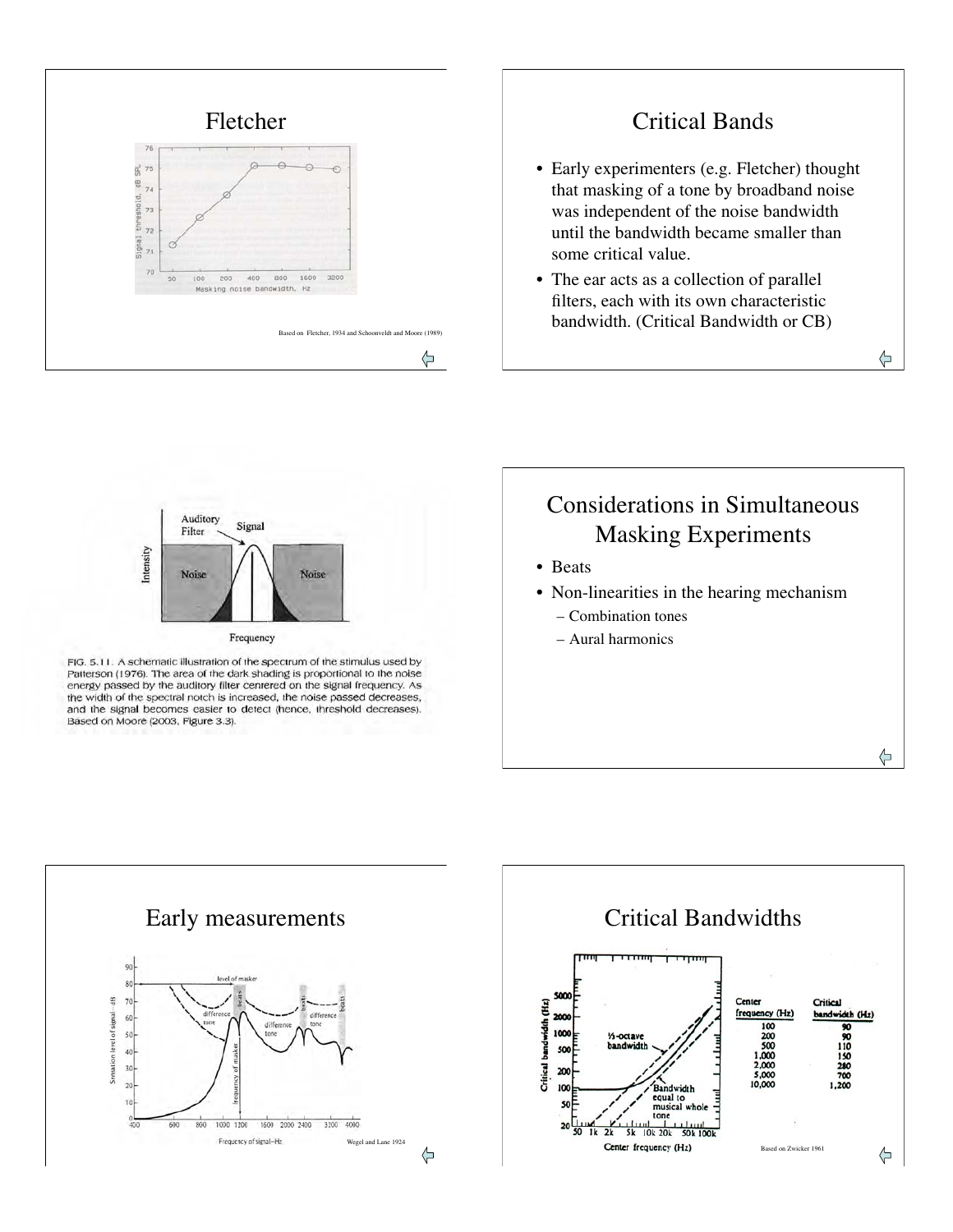

### Critical Bands

- Early experimenters (e.g. Fletcher) thought that masking of a tone by broadband noise was independent of the noise bandwidth until the bandwidth became smaller than some critical value.
- The ear acts as a collection of parallel filters, each with its own characteristic bandwidth. (Critical Bandwidth or CB)

⇦

⇦



FIG. 5.11. A schematic illustration of the spectrum of the stimulus used by Patterson (1976). The area of the dark shading is proportional to the noise energy passed by the auditory filter centered on the signal frequency. As the width of the spectral notch is increased, the noise passed decreases, and the signal becomes easier to detect (hence, threshold decreases). Based on Moore (2003, Figure 3.3).



- Beats
- Non-linearities in the hearing mechanism
	- Combination tones
	- Aural harmonics



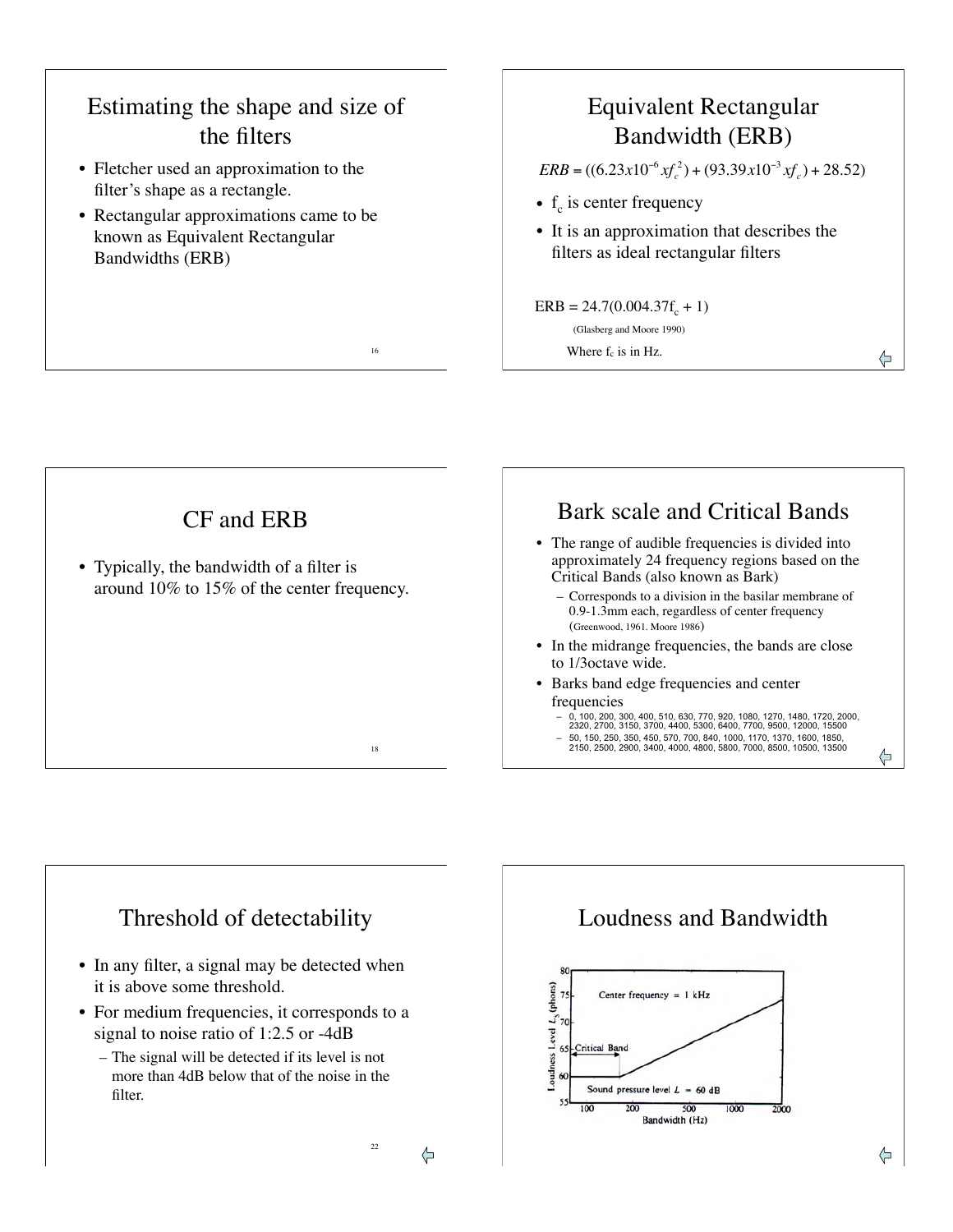# Estimating the shape and size of the filters

- Fletcher used an approximation to the filter's shape as a rectangle.
- Rectangular approximations came to be known as Equivalent Rectangular Bandwidths (ERB)

# Equivalent Rectangular Bandwidth (ERB)

 $ERB = ((6.23x10^{-6}xf_c^2) + (93.39x10^{-3}xf_c) + 28.52)$ 

⇦

- $f_c$  is center frequency
- It is an approximation that describes the filters as ideal rectangular filters

#### $ERB = 24.7(0.004.37f_c + 1)$ (Glasberg and Moore 1990)

Where  $f_c$  is in Hz.



16



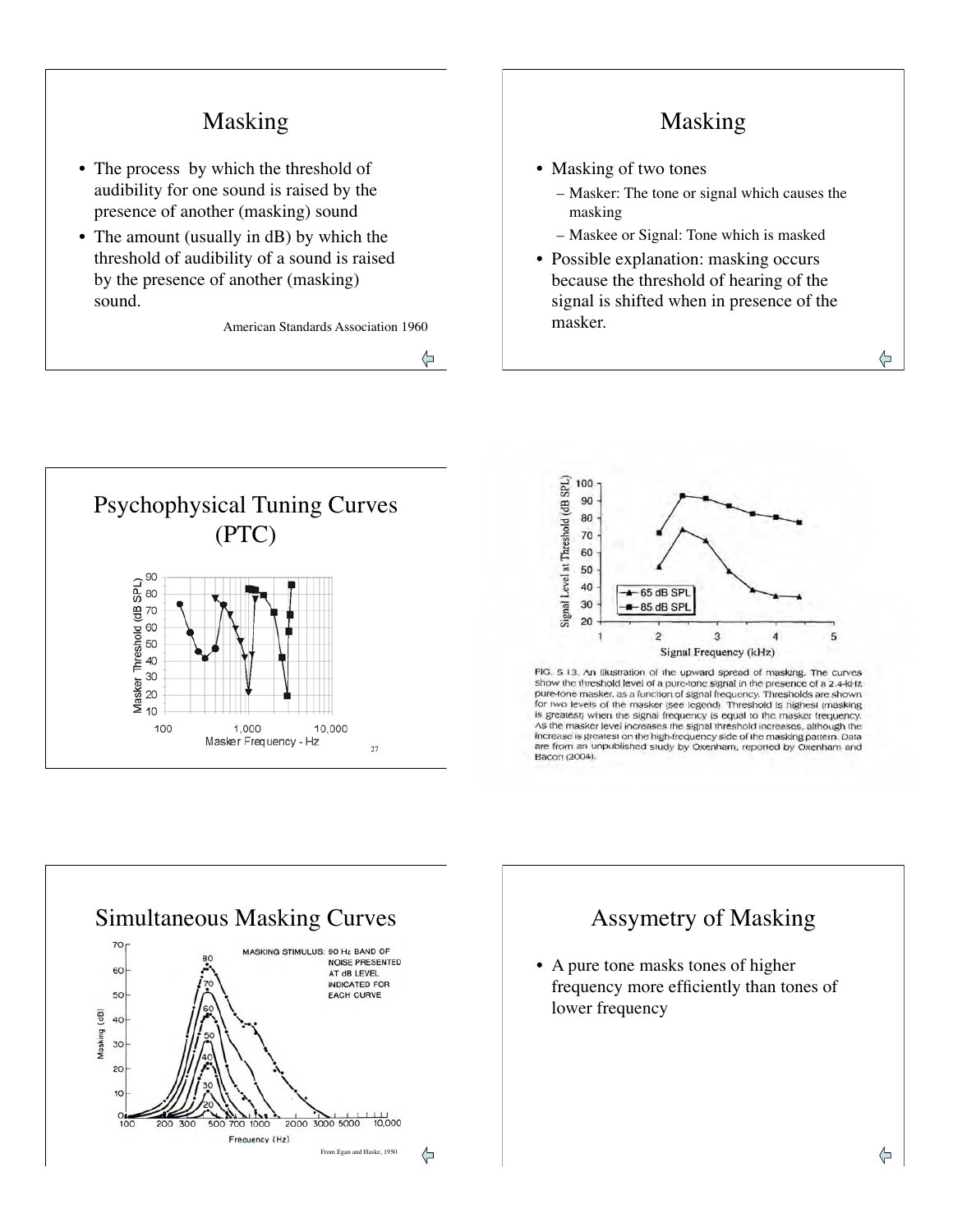## Masking

- The process by which the threshold of audibility for one sound is raised by the presence of another (masking) sound
- The amount (usually in dB) by which the threshold of audibility of a sound is raised by the presence of another (masking) sound.

American Standards Association 1960

⇦

### Masking

- Masking of two tones
	- Masker: The tone or signal which causes the masking
	- Maskee or Signal: Tone which is masked
- Possible explanation: masking occurs because the threshold of hearing of the signal is shifted when in presence of the masker.





FIG. 5.13. An Illustration of the upward spread of masking. The curves show the threshold level of a pure-tone signal in the presence of a 2.4-kHz pure-tone masker, as a function of signal frequency. Thresholds are shown for two levels of the masker (see legend). Threshold is highest (masking<br>is greatest) when the signal frequency is equal to the masker trequency. As the masker level increases the signal threshold increases, although the increase is greatest on the high-frequency side of the masking pattern. Data are from an unpublished study by Oxenham, reported by Oxenham and Bacon (2004).



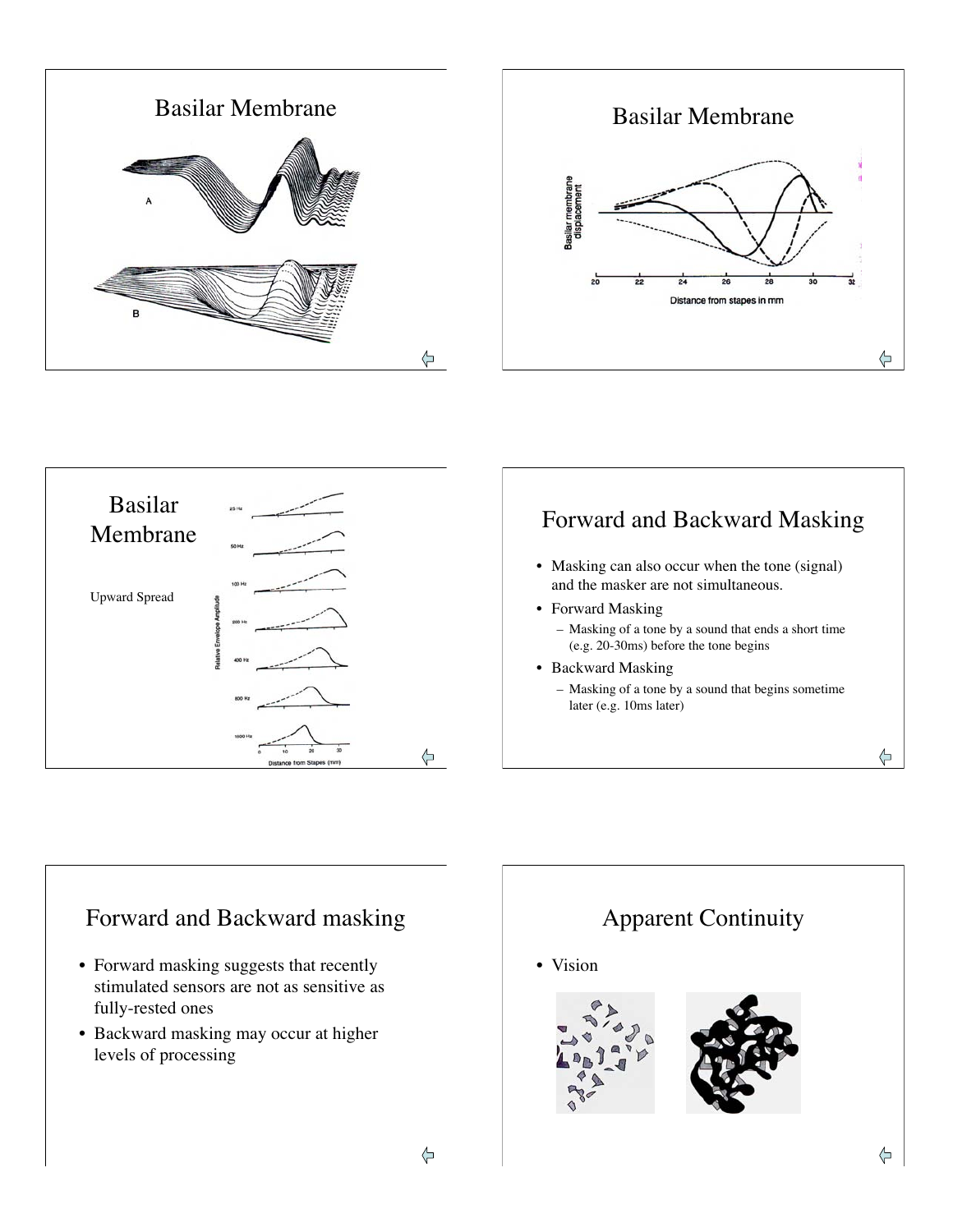





# Forward and Backward Masking

- Masking can also occur when the tone (signal) and the masker are not simultaneous.
- Forward Masking – Masking of a tone by a sound that ends a short time (e.g. 20-30ms) before the tone begins
- Backward Masking – Masking of a tone by a sound that begins sometime later (e.g. 10ms later)

⇦

# Forward and Backward masking

- Forward masking suggests that recently stimulated sensors are not as sensitive as fully-rested ones
- Backward masking may occur at higher levels of processing